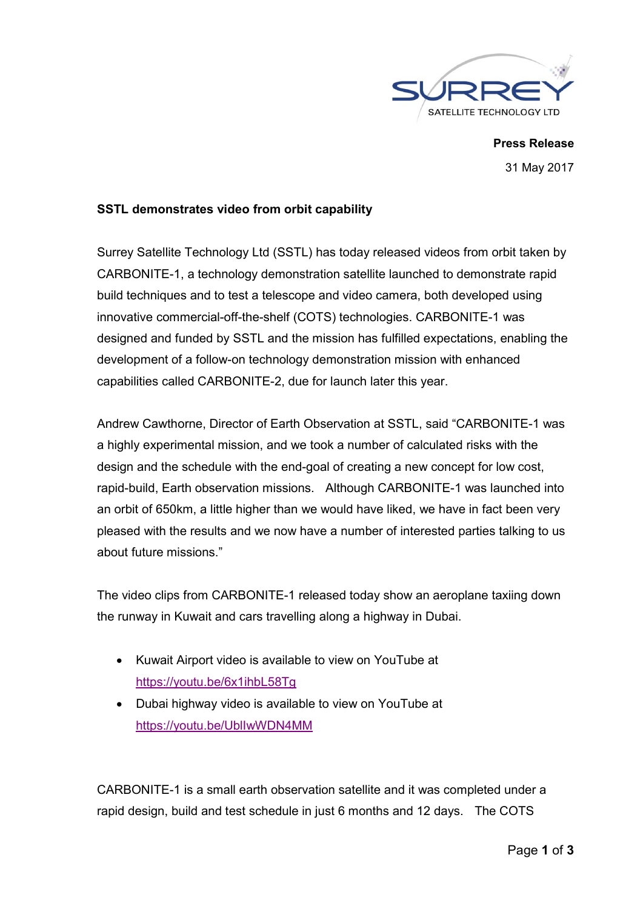

**Press Release** 31 May 2017

### **SSTL demonstrates video from orbit capability**

Surrey Satellite Technology Ltd (SSTL) has today released videos from orbit taken by CARBONITE-1, a technology demonstration satellite launched to demonstrate rapid build techniques and to test a telescope and video camera, both developed using innovative commercial-off-the-shelf (COTS) technologies. CARBONITE-1 was designed and funded by SSTL and the mission has fulfilled expectations, enabling the development of a follow-on technology demonstration mission with enhanced capabilities called CARBONITE-2, due for launch later this year.

Andrew Cawthorne, Director of Earth Observation at SSTL, said "CARBONITE-1 was a highly experimental mission, and we took a number of calculated risks with the design and the schedule with the end-goal of creating a new concept for low cost, rapid-build, Earth observation missions. Although CARBONITE-1 was launched into an orbit of 650km, a little higher than we would have liked, we have in fact been very pleased with the results and we now have a number of interested parties talking to us about future missions."

The video clips from CARBONITE-1 released today show an aeroplane taxiing down the runway in Kuwait and cars travelling along a highway in Dubai.

- Kuwait Airport video is available to view on YouTube at https://youtu.be/6x1ihbL58Tg
- Dubai highway video is available to view on YouTube at https://youtu.be/UblIwWDN4MM

CARBONITE-1 is a small earth observation satellite and it was completed under a rapid design, build and test schedule in just 6 months and 12 days. The COTS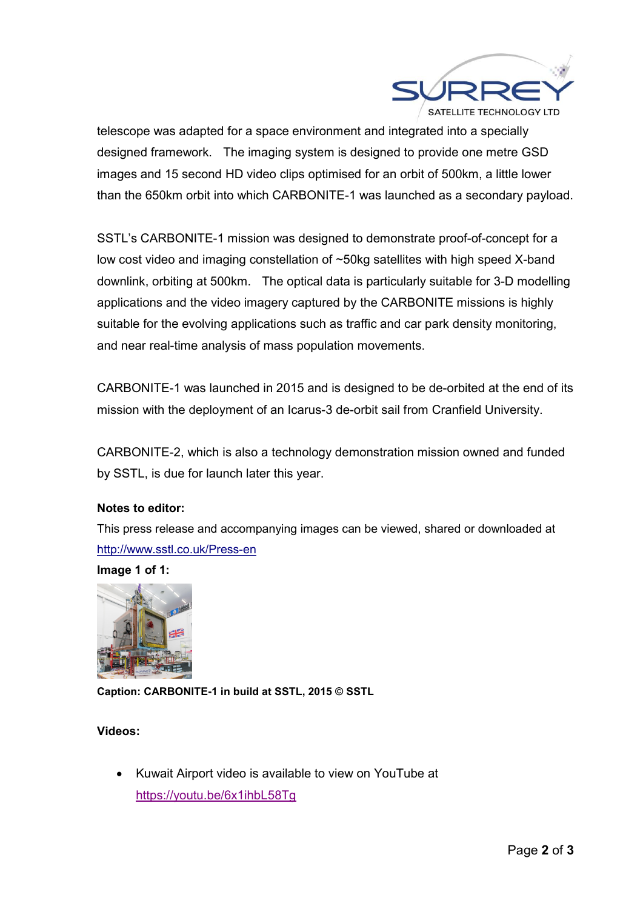

telescope was adapted for a space environment and integrated into a specially designed framework. The imaging system is designed to provide one metre GSD images and 15 second HD video clips optimised for an orbit of 500km, a little lower than the 650km orbit into which CARBONITE-1 was launched as a secondary payload.

SSTL's CARBONITE-1 mission was designed to demonstrate proof-of-concept for a low cost video and imaging constellation of ~50kg satellites with high speed X-band downlink, orbiting at 500km. The optical data is particularly suitable for 3-D modelling applications and the video imagery captured by the CARBONITE missions is highly suitable for the evolving applications such as traffic and car park density monitoring, and near real-time analysis of mass population movements.

CARBONITE-1 was launched in 2015 and is designed to be de-orbited at the end of its mission with the deployment of an Icarus-3 de-orbit sail from Cranfield University.

CARBONITE-2, which is also a technology demonstration mission owned and funded by SSTL, is due for launch later this year.

# **Notes to editor:**

This press release and accompanying images can be viewed, shared or downloaded at http://www.sstl.co.uk/Press-en

**Image 1 of 1:**



**Caption: CARBONITE-1 in build at SSTL, 2015 © SSTL**

# **Videos:**

 Kuwait Airport video is available to view on YouTube at https://youtu.be/6x1ihbL58Tg